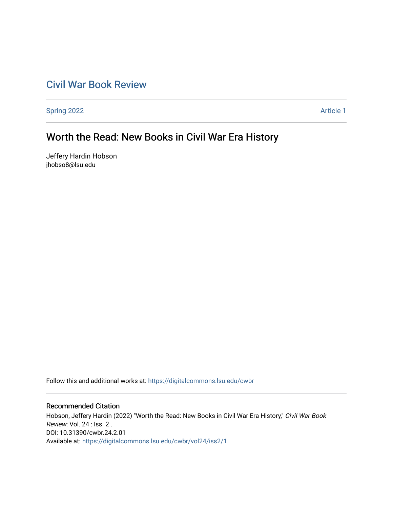## [Civil War Book Review](https://digitalcommons.lsu.edu/cwbr)

[Spring 2022](https://digitalcommons.lsu.edu/cwbr/vol24/iss2) **Article 1** 

# Worth the Read: New Books in Civil War Era History

Jeffery Hardin Hobson jhobso8@lsu.edu

Follow this and additional works at: [https://digitalcommons.lsu.edu/cwbr](https://digitalcommons.lsu.edu/cwbr?utm_source=digitalcommons.lsu.edu%2Fcwbr%2Fvol24%2Fiss2%2F1&utm_medium=PDF&utm_campaign=PDFCoverPages) 

#### Recommended Citation

Hobson, Jeffery Hardin (2022) "Worth the Read: New Books in Civil War Era History," Civil War Book Review: Vol. 24 : Iss. 2 . DOI: 10.31390/cwbr.24.2.01 Available at: [https://digitalcommons.lsu.edu/cwbr/vol24/iss2/1](https://digitalcommons.lsu.edu/cwbr/vol24/iss2/1?utm_source=digitalcommons.lsu.edu%2Fcwbr%2Fvol24%2Fiss2%2F1&utm_medium=PDF&utm_campaign=PDFCoverPages)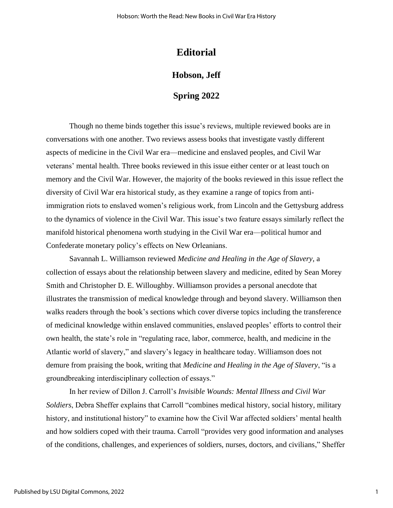## **Editorial**

### **Hobson, Jeff**

### **Spring 2022**

Though no theme binds together this issue's reviews, multiple reviewed books are in conversations with one another. Two reviews assess books that investigate vastly different aspects of medicine in the Civil War era—medicine and enslaved peoples, and Civil War veterans' mental health. Three books reviewed in this issue either center or at least touch on memory and the Civil War. However, the majority of the books reviewed in this issue reflect the diversity of Civil War era historical study, as they examine a range of topics from antiimmigration riots to enslaved women's religious work, from Lincoln and the Gettysburg address to the dynamics of violence in the Civil War. This issue's two feature essays similarly reflect the manifold historical phenomena worth studying in the Civil War era—political humor and Confederate monetary policy's effects on New Orleanians.

Savannah L. Williamson reviewed *Medicine and Healing in the Age of Slavery*, a collection of essays about the relationship between slavery and medicine, edited by Sean Morey Smith and Christopher D. E. Willoughby. Williamson provides a personal anecdote that illustrates the transmission of medical knowledge through and beyond slavery. Williamson then walks readers through the book's sections which cover diverse topics including the transference of medicinal knowledge within enslaved communities, enslaved peoples' efforts to control their own health, the state's role in "regulating race, labor, commerce, health, and medicine in the Atlantic world of slavery," and slavery's legacy in healthcare today. Williamson does not demure from praising the book, writing that *Medicine and Healing in the Age of Slavery*, "is a groundbreaking interdisciplinary collection of essays."

In her review of Dillon J. Carroll's *Invisible Wounds: Mental Illness and Civil War Soldiers*, Debra Sheffer explains that Carroll "combines medical history, social history, military history, and institutional history" to examine how the Civil War affected soldiers' mental health and how soldiers coped with their trauma. Carroll "provides very good information and analyses of the conditions, challenges, and experiences of soldiers, nurses, doctors, and civilians," Sheffer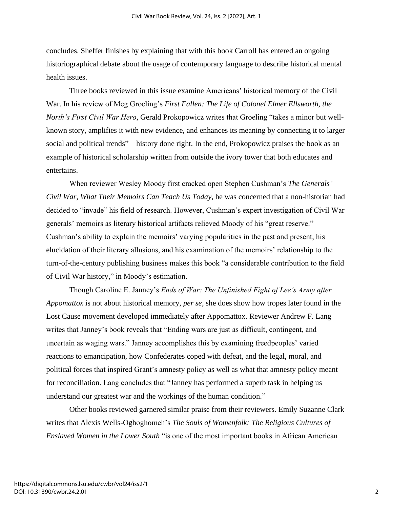concludes. Sheffer finishes by explaining that with this book Carroll has entered an ongoing historiographical debate about the usage of contemporary language to describe historical mental health issues.

Three books reviewed in this issue examine Americans' historical memory of the Civil War. In his review of Meg Groeling's *First Fallen: The Life of Colonel Elmer Ellsworth, the North's First Civil War Hero*, Gerald Prokopowicz writes that Groeling "takes a minor but wellknown story, amplifies it with new evidence, and enhances its meaning by connecting it to larger social and political trends"—history done right. In the end, Prokopowicz praises the book as an example of historical scholarship written from outside the ivory tower that both educates and entertains.

When reviewer Wesley Moody first cracked open Stephen Cushman's *The Generals' Civil War, What Their Memoirs Can Teach Us Today*, he was concerned that a non-historian had decided to "invade" his field of research. However, Cushman's expert investigation of Civil War generals' memoirs as literary historical artifacts relieved Moody of his "great reserve." Cushman's ability to explain the memoirs' varying popularities in the past and present, his elucidation of their literary allusions, and his examination of the memoirs' relationship to the turn-of-the-century publishing business makes this book "a considerable contribution to the field of Civil War history," in Moody's estimation.

Though Caroline E. Janney's *Ends of War: The Unfinished Fight of Lee's Army after Appomattox* is not about historical memory, *per se*, she does show how tropes later found in the Lost Cause movement developed immediately after Appomattox. Reviewer Andrew F. Lang writes that Janney's book reveals that "Ending wars are just as difficult, contingent, and uncertain as waging wars." Janney accomplishes this by examining freedpeoples' varied reactions to emancipation, how Confederates coped with defeat, and the legal, moral, and political forces that inspired Grant's amnesty policy as well as what that amnesty policy meant for reconciliation. Lang concludes that "Janney has performed a superb task in helping us understand our greatest war and the workings of the human condition."

Other books reviewed garnered similar praise from their reviewers. Emily Suzanne Clark writes that Alexis Wells-Oghoghomeh's *The Souls of Womenfolk: The Religious Cultures of Enslaved Women in the Lower South* "is one of the most important books in African American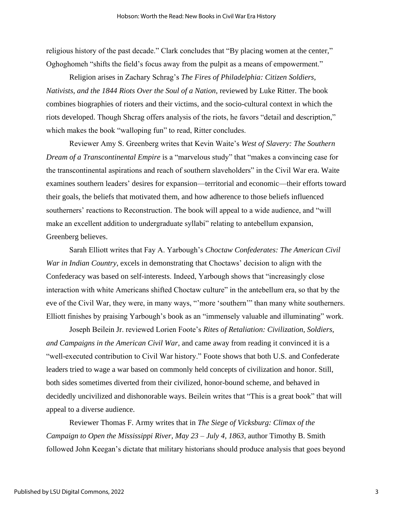religious history of the past decade." Clark concludes that "By placing women at the center," Oghoghomeh "shifts the field's focus away from the pulpit as a means of empowerment."

Religion arises in Zachary Schrag's *The Fires of Philadelphia: Citizen Soldiers, Nativists, and the 1844 Riots Over the Soul of a Nation*, reviewed by Luke Ritter. The book combines biographies of rioters and their victims, and the socio-cultural context in which the riots developed. Though Shcrag offers analysis of the riots, he favors "detail and description," which makes the book "walloping fun" to read, Ritter concludes.

Reviewer Amy S. Greenberg writes that Kevin Waite's *West of Slavery: The Southern Dream of a Transcontinental Empire* is a "marvelous study" that "makes a convincing case for the transcontinental aspirations and reach of southern slaveholders" in the Civil War era. Waite examines southern leaders' desires for expansion—territorial and economic—their efforts toward their goals, the beliefs that motivated them, and how adherence to those beliefs influenced southerners' reactions to Reconstruction. The book will appeal to a wide audience, and "will make an excellent addition to undergraduate syllabi" relating to antebellum expansion, Greenberg believes.

Sarah Elliott writes that Fay A. Yarbough's *Choctaw Confederates: The American Civil War in Indian Country*, excels in demonstrating that Choctaws' decision to align with the Confederacy was based on self-interests. Indeed, Yarbough shows that "increasingly close interaction with white Americans shifted Choctaw culture" in the antebellum era, so that by the eve of the Civil War, they were, in many ways, "'more 'southern'" than many white southerners. Elliott finishes by praising Yarbough's book as an "immensely valuable and illuminating" work.

Joseph Beilein Jr. reviewed Lorien Foote's *Rites of Retaliation: Civilization, Soldiers, and Campaigns in the American Civil War*, and came away from reading it convinced it is a "well-executed contribution to Civil War history." Foote shows that both U.S. and Confederate leaders tried to wage a war based on commonly held concepts of civilization and honor. Still, both sides sometimes diverted from their civilized, honor-bound scheme, and behaved in decidedly uncivilized and dishonorable ways. Beilein writes that "This is a great book" that will appeal to a diverse audience.

Reviewer Thomas F. Army writes that in *The Siege of Vicksburg: Climax of the Campaign to Open the Mississippi River, May 23 – July 4, 1863*, author Timothy B. Smith followed John Keegan's dictate that military historians should produce analysis that goes beyond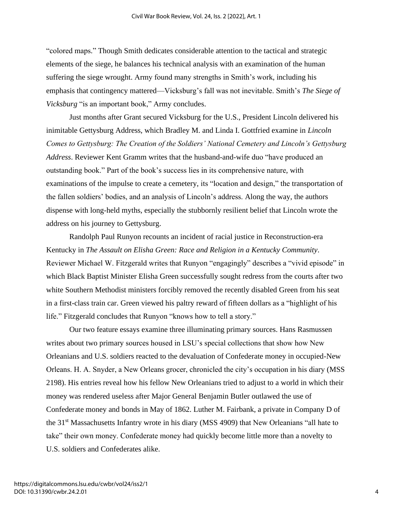"colored maps." Though Smith dedicates considerable attention to the tactical and strategic elements of the siege, he balances his technical analysis with an examination of the human suffering the siege wrought. Army found many strengths in Smith's work, including his emphasis that contingency mattered—Vicksburg's fall was not inevitable. Smith's *The Siege of Vicksburg* "is an important book," Army concludes.

Just months after Grant secured Vicksburg for the U.S., President Lincoln delivered his inimitable Gettysburg Address, which Bradley M. and Linda I. Gottfried examine in *Lincoln Comes to Gettysburg: The Creation of the Soldiers' National Cemetery and Lincoln's Gettysburg Address*. Reviewer Kent Gramm writes that the husband-and-wife duo "have produced an outstanding book." Part of the book's success lies in its comprehensive nature, with examinations of the impulse to create a cemetery, its "location and design," the transportation of the fallen soldiers' bodies, and an analysis of Lincoln's address. Along the way, the authors dispense with long-held myths, especially the stubbornly resilient belief that Lincoln wrote the address on his journey to Gettysburg.

Randolph Paul Runyon recounts an incident of racial justice in Reconstruction-era Kentucky in *The Assault on Elisha Green: Race and Religion in a Kentucky Community*. Reviewer Michael W. Fitzgerald writes that Runyon "engagingly" describes a "vivid episode" in which Black Baptist Minister Elisha Green successfully sought redress from the courts after two white Southern Methodist ministers forcibly removed the recently disabled Green from his seat in a first-class train car. Green viewed his paltry reward of fifteen dollars as a "highlight of his life." Fitzgerald concludes that Runyon "knows how to tell a story."

Our two feature essays examine three illuminating primary sources. Hans Rasmussen writes about two primary sources housed in LSU's special collections that show how New Orleanians and U.S. soldiers reacted to the devaluation of Confederate money in occupied-New Orleans. H. A. Snyder, a New Orleans grocer, chronicled the city's occupation in his diary (MSS 2198). His entries reveal how his fellow New Orleanians tried to adjust to a world in which their money was rendered useless after Major General Benjamin Butler outlawed the use of Confederate money and bonds in May of 1862. Luther M. Fairbank, a private in Company D of the 31<sup>st</sup> Massachusetts Infantry wrote in his diary (MSS 4909) that New Orleanians "all hate to take" their own money. Confederate money had quickly become little more than a novelty to U.S. soldiers and Confederates alike.